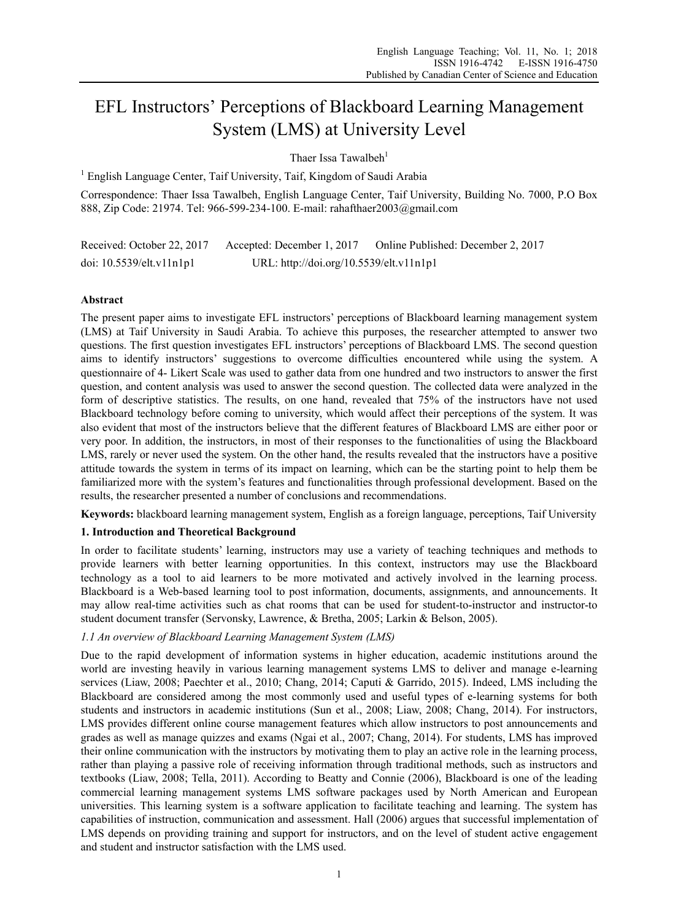# EFL Instructors' Perceptions of Blackboard Learning Management System (LMS) at University Level

Thaer Issa Tawalbeh $1$ 

<sup>1</sup> English Language Center, Taif University, Taif, Kingdom of Saudi Arabia

Correspondence: Thaer Issa Tawalbeh, English Language Center, Taif University, Building No. 7000, P.O Box 888, Zip Code: 21974. Tel: 966-599-234-100. E-mail: rahafthaer2003@gmail.com

| Received: October 22, 2017     | Accepted: December 1, 2017              | Online Published: December 2, 2017 |
|--------------------------------|-----------------------------------------|------------------------------------|
| doi: $10.5539$ /elt.v $11n1p1$ | URL: http://doi.org/10.5539/elt.v11n1p1 |                                    |

# **Abstract**

The present paper aims to investigate EFL instructors' perceptions of Blackboard learning management system (LMS) at Taif University in Saudi Arabia. To achieve this purposes, the researcher attempted to answer two questions. The first question investigates EFL instructors' perceptions of Blackboard LMS. The second question aims to identify instructors' suggestions to overcome difficulties encountered while using the system. A questionnaire of 4- Likert Scale was used to gather data from one hundred and two instructors to answer the first question, and content analysis was used to answer the second question. The collected data were analyzed in the form of descriptive statistics. The results, on one hand, revealed that 75% of the instructors have not used Blackboard technology before coming to university, which would affect their perceptions of the system. It was also evident that most of the instructors believe that the different features of Blackboard LMS are either poor or very poor. In addition, the instructors, in most of their responses to the functionalities of using the Blackboard LMS, rarely or never used the system. On the other hand, the results revealed that the instructors have a positive attitude towards the system in terms of its impact on learning, which can be the starting point to help them be familiarized more with the system's features and functionalities through professional development. Based on the results, the researcher presented a number of conclusions and recommendations.

**Keywords:** blackboard learning management system, English as a foreign language, perceptions, Taif University

## **1. Introduction and Theoretical Background**

In order to facilitate students' learning, instructors may use a variety of teaching techniques and methods to provide learners with better learning opportunities. In this context, instructors may use the Blackboard technology as a tool to aid learners to be more motivated and actively involved in the learning process. Blackboard is a Web-based learning tool to post information, documents, assignments, and announcements. It may allow real-time activities such as chat rooms that can be used for student-to-instructor and instructor-to student document transfer (Servonsky, Lawrence, & Bretha, 2005; Larkin & Belson, 2005).

## *1.1 An overview of Blackboard Learning Management System (LMS)*

Due to the rapid development of information systems in higher education, academic institutions around the world are investing heavily in various learning management systems LMS to deliver and manage e-learning services (Liaw, 2008; Paechter et al., 2010; Chang, 2014; Caputi & Garrido, 2015). Indeed, LMS including the Blackboard are considered among the most commonly used and useful types of e-learning systems for both students and instructors in academic institutions (Sun et al., 2008; Liaw, 2008; Chang, 2014). For instructors, LMS provides different online course management features which allow instructors to post announcements and grades as well as manage quizzes and exams (Ngai et al., 2007; Chang, 2014). For students, LMS has improved their online communication with the instructors by motivating them to play an active role in the learning process, rather than playing a passive role of receiving information through traditional methods, such as instructors and textbooks (Liaw, 2008; Tella, 2011). According to Beatty and Connie (2006), Blackboard is one of the leading commercial learning management systems LMS software packages used by North American and European universities. This learning system is a software application to facilitate teaching and learning. The system has capabilities of instruction, communication and assessment. Hall (2006) argues that successful implementation of LMS depends on providing training and support for instructors, and on the level of student active engagement and student and instructor satisfaction with the LMS used.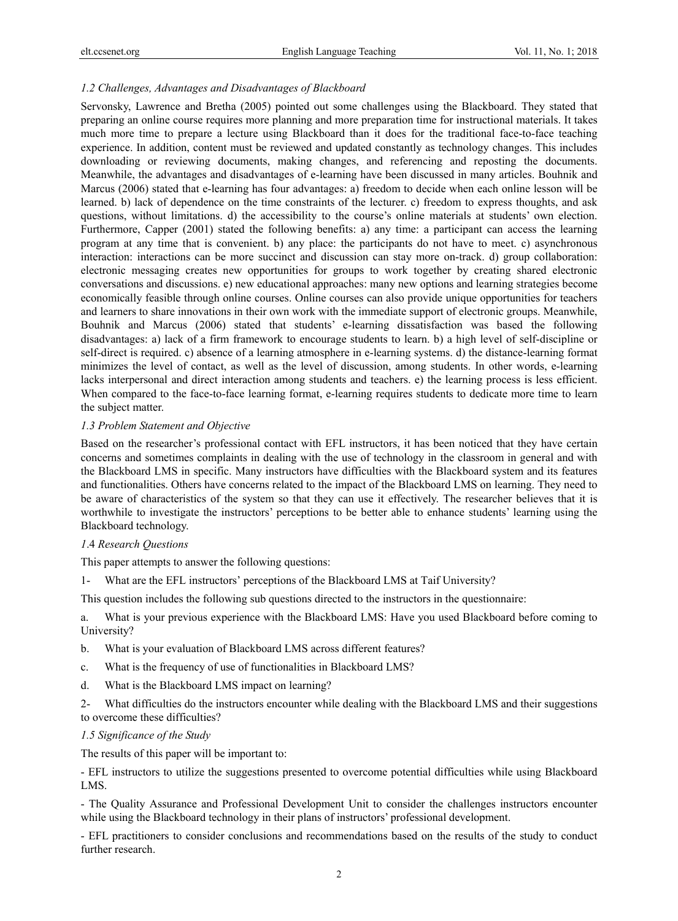## *1.2 Challenges, Advantages and Disadvantages of Blackboard*

Servonsky, Lawrence and Bretha (2005) pointed out some challenges using the Blackboard. They stated that preparing an online course requires more planning and more preparation time for instructional materials. It takes much more time to prepare a lecture using Blackboard than it does for the traditional face-to-face teaching experience. In addition, content must be reviewed and updated constantly as technology changes. This includes downloading or reviewing documents, making changes, and referencing and reposting the documents. Meanwhile, the advantages and disadvantages of e-learning have been discussed in many articles. Bouhnik and Marcus (2006) stated that e-learning has four advantages: a) freedom to decide when each online lesson will be learned. b) lack of dependence on the time constraints of the lecturer. c) freedom to express thoughts, and ask questions, without limitations. d) the accessibility to the course's online materials at students' own election. Furthermore, Capper (2001) stated the following benefits: a) any time: a participant can access the learning program at any time that is convenient. b) any place: the participants do not have to meet. c) asynchronous interaction: interactions can be more succinct and discussion can stay more on-track. d) group collaboration: electronic messaging creates new opportunities for groups to work together by creating shared electronic conversations and discussions. e) new educational approaches: many new options and learning strategies become economically feasible through online courses. Online courses can also provide unique opportunities for teachers and learners to share innovations in their own work with the immediate support of electronic groups. Meanwhile, Bouhnik and Marcus (2006) stated that students' e-learning dissatisfaction was based the following disadvantages: a) lack of a firm framework to encourage students to learn. b) a high level of self-discipline or self-direct is required. c) absence of a learning atmosphere in e-learning systems. d) the distance-learning format minimizes the level of contact, as well as the level of discussion, among students. In other words, e-learning lacks interpersonal and direct interaction among students and teachers. e) the learning process is less efficient. When compared to the face-to-face learning format, e-learning requires students to dedicate more time to learn the subject matter.

### *1.3 Problem Statement and Objective*

Based on the researcher's professional contact with EFL instructors, it has been noticed that they have certain concerns and sometimes complaints in dealing with the use of technology in the classroom in general and with the Blackboard LMS in specific. Many instructors have difficulties with the Blackboard system and its features and functionalities. Others have concerns related to the impact of the Blackboard LMS on learning. They need to be aware of characteristics of the system so that they can use it effectively. The researcher believes that it is worthwhile to investigate the instructors' perceptions to be better able to enhance students' learning using the Blackboard technology.

#### *1*.4 *Research Questions*

This paper attempts to answer the following questions:

What are the EFL instructors' perceptions of the Blackboard LMS at Taif University?

This question includes the following sub questions directed to the instructors in the questionnaire:

a. What is your previous experience with the Blackboard LMS: Have you used Blackboard before coming to University?

- b. What is your evaluation of Blackboard LMS across different features?
- c. What is the frequency of use of functionalities in Blackboard LMS?
- d. What is the Blackboard LMS impact on learning?

2- What difficulties do the instructors encounter while dealing with the Blackboard LMS and their suggestions to overcome these difficulties?

#### *1.5 Significance of the Study*

The results of this paper will be important to:

- EFL instructors to utilize the suggestions presented to overcome potential difficulties while using Blackboard LMS.

- The Quality Assurance and Professional Development Unit to consider the challenges instructors encounter while using the Blackboard technology in their plans of instructors' professional development.

- EFL practitioners to consider conclusions and recommendations based on the results of the study to conduct further research.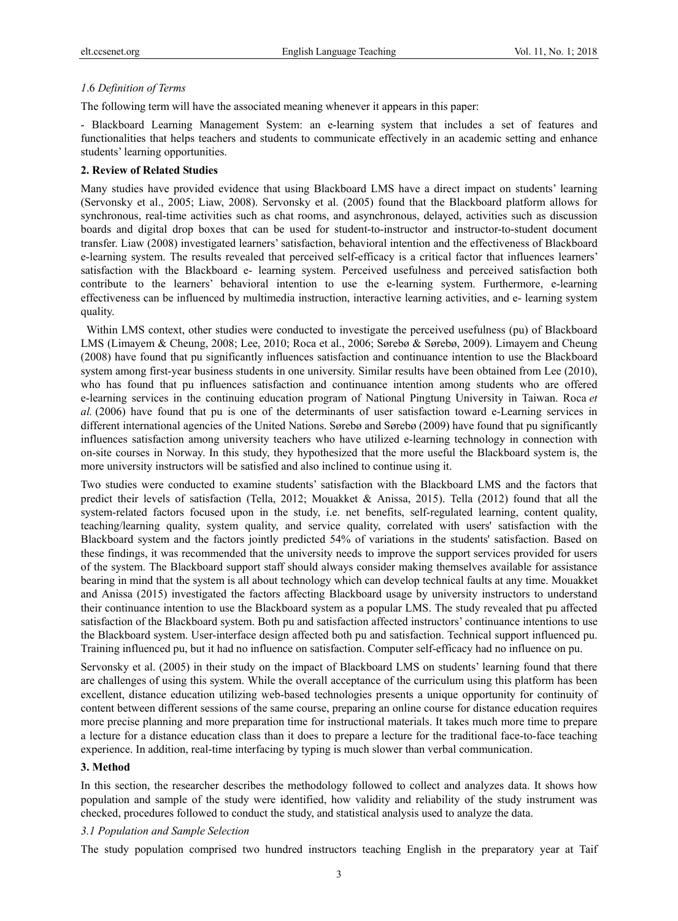## *1*.6 *Definition of Terms*

The following term will have the associated meaning whenever it appears in this paper:

- Blackboard Learning Management System: an e-learning system that includes a set of features and functionalities that helps teachers and students to communicate effectively in an academic setting and enhance students' learning opportunities.

## **2. Review of Related Studies**

Many studies have provided evidence that using Blackboard LMS have a direct impact on students' learning (Servonsky et al., 2005; Liaw, 2008). Servonsky et al. (2005) found that the Blackboard platform allows for synchronous, real-time activities such as chat rooms, and asynchronous, delayed, activities such as discussion boards and digital drop boxes that can be used for student-to-instructor and instructor-to-student document transfer. Liaw (2008) investigated learners' satisfaction, behavioral intention and the effectiveness of Blackboard e-learning system. The results revealed that perceived self-efficacy is a critical factor that influences learners' satisfaction with the Blackboard e- learning system. Perceived usefulness and perceived satisfaction both contribute to the learners' behavioral intention to use the e-learning system. Furthermore, e-learning effectiveness can be influenced by multimedia instruction, interactive learning activities, and e- learning system quality.

Within LMS context, other studies were conducted to investigate the perceived usefulness (pu) of Blackboard LMS (Limayem & Cheung, 2008; Lee, 2010; Roca et al., 2006; Sørebø & Sørebø, 2009). Limayem and Cheung (2008) have found that pu significantly influences satisfaction and continuance intention to use the Blackboard system among first-year business students in one university. Similar results have been obtained from Lee (2010), who has found that pu influences satisfaction and continuance intention among students who are offered e-learning services in the continuing education program of National Pingtung University in Taiwan. Roca *et al.* (2006) have found that pu is one of the determinants of user satisfaction toward e-Learning services in different international agencies of the United Nations. Sørebø and Sørebø (2009) have found that pu significantly influences satisfaction among university teachers who have utilized e-learning technology in connection with on-site courses in Norway. In this study, they hypothesized that the more useful the Blackboard system is, the more university instructors will be satisfied and also inclined to continue using it.

Two studies were conducted to examine students' satisfaction with the Blackboard LMS and the factors that predict their levels of satisfaction (Tella, 2012; Mouakket & Anissa, 2015). Tella (2012) found that all the system-related factors focused upon in the study, i.e. net benefits, self-regulated learning, content quality, teaching/learning quality, system quality, and service quality, correlated with users' satisfaction with the Blackboard system and the factors jointly predicted 54% of variations in the students' satisfaction. Based on these findings, it was recommended that the university needs to improve the support services provided for users of the system. The Blackboard support staff should always consider making themselves available for assistance bearing in mind that the system is all about technology which can develop technical faults at any time. Mouakket and Anissa (2015) investigated the factors affecting Blackboard usage by university instructors to understand their continuance intention to use the Blackboard system as a popular LMS. The study revealed that pu affected satisfaction of the Blackboard system. Both pu and satisfaction affected instructors' continuance intentions to use the Blackboard system. User-interface design affected both pu and satisfaction. Technical support influenced pu. Training influenced pu, but it had no influence on satisfaction. Computer self-efficacy had no influence on pu.

Servonsky et al. (2005) in their study on the impact of Blackboard LMS on students' learning found that there are challenges of using this system. While the overall acceptance of the curriculum using this platform has been excellent, distance education utilizing web-based technologies presents a unique opportunity for continuity of content between different sessions of the same course, preparing an online course for distance education requires more precise planning and more preparation time for instructional materials. It takes much more time to prepare a lecture for a distance education class than it does to prepare a lecture for the traditional face-to-face teaching experience. In addition, real-time interfacing by typing is much slower than verbal communication.

#### **3. Method**

In this section, the researcher describes the methodology followed to collect and analyzes data. It shows how population and sample of the study were identified, how validity and reliability of the study instrument was checked, procedures followed to conduct the study, and statistical analysis used to analyze the data.

#### *3.1 Population and Sample Selection*

The study population comprised two hundred instructors teaching English in the preparatory year at Taif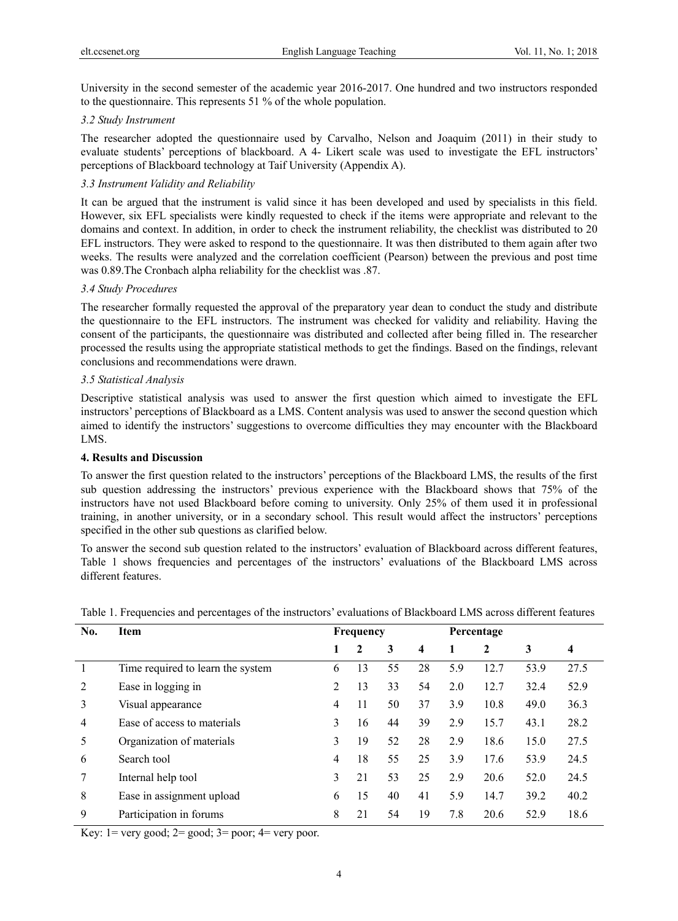University in the second semester of the academic year 2016-2017. One hundred and two instructors responded to the questionnaire. This represents 51 % of the whole population.

## *3.2 Study Instrument*

The researcher adopted the questionnaire used by Carvalho, Nelson and Joaquim (2011) in their study to evaluate students' perceptions of blackboard. A 4- Likert scale was used to investigate the EFL instructors' perceptions of Blackboard technology at Taif University (Appendix A).

## *3.3 Instrument Validity and Reliability*

It can be argued that the instrument is valid since it has been developed and used by specialists in this field. However, six EFL specialists were kindly requested to check if the items were appropriate and relevant to the domains and context. In addition, in order to check the instrument reliability, the checklist was distributed to 20 EFL instructors. They were asked to respond to the questionnaire. It was then distributed to them again after two weeks. The results were analyzed and the correlation coefficient (Pearson) between the previous and post time was 0.89.The Cronbach alpha reliability for the checklist was .87.

## *3.4 Study Procedures*

The researcher formally requested the approval of the preparatory year dean to conduct the study and distribute the questionnaire to the EFL instructors. The instrument was checked for validity and reliability. Having the consent of the participants, the questionnaire was distributed and collected after being filled in. The researcher processed the results using the appropriate statistical methods to get the findings. Based on the findings, relevant conclusions and recommendations were drawn.

## *3.5 Statistical Analysis*

Descriptive statistical analysis was used to answer the first question which aimed to investigate the EFL instructors' perceptions of Blackboard as a LMS. Content analysis was used to answer the second question which aimed to identify the instructors' suggestions to overcome difficulties they may encounter with the Blackboard LMS.

### **4. Results and Discussion**

To answer the first question related to the instructors' perceptions of the Blackboard LMS, the results of the first sub question addressing the instructors' previous experience with the Blackboard shows that 75% of the instructors have not used Blackboard before coming to university. Only 25% of them used it in professional training, in another university, or in a secondary school. This result would affect the instructors' perceptions specified in the other sub questions as clarified below.

To answer the second sub question related to the instructors' evaluation of Blackboard across different features, Table 1 shows frequencies and percentages of the instructors' evaluations of the Blackboard LMS across different features.

| No.            | <b>Item</b>                       | Frequency |              |    | Percentage |     |             |      |      |
|----------------|-----------------------------------|-----------|--------------|----|------------|-----|-------------|------|------|
|                |                                   |           | $\mathbf{2}$ | 3  | 4          |     | $\mathbf 2$ | 3    | 4    |
|                | Time required to learn the system | 6         | 13           | 55 | 28         | 5.9 | 12.7        | 53.9 | 27.5 |
| 2              | Ease in logging in                | 2         | 13           | 33 | 54         | 2.0 | 12.7        | 32.4 | 52.9 |
| 3              | Visual appearance                 | 4         | 11           | 50 | 37         | 3.9 | 10.8        | 49.0 | 36.3 |
| $\overline{4}$ | Ease of access to materials       | 3         | 16           | 44 | 39         | 2.9 | 15.7        | 43.1 | 28.2 |
| 5              | Organization of materials         | 3         | 19           | 52 | 28         | 2.9 | 18.6        | 15.0 | 27.5 |
| 6              | Search tool                       | 4         | 18           | 55 | 25         | 3.9 | 17.6        | 53.9 | 24.5 |
| 7              | Internal help tool                | 3         | 21           | 53 | 25         | 2.9 | 20.6        | 52.0 | 24.5 |
| 8              | Ease in assignment upload         | 6         | 15           | 40 | 41         | 5.9 | 14.7        | 39.2 | 40.2 |
| 9              | Participation in forums           | 8         | 21           | 54 | 19         | 7.8 | 20.6        | 52.9 | 18.6 |

Table 1. Frequencies and percentages of the instructors' evaluations of Blackboard LMS across different features

Key:  $1 = \text{very good}; 2 = \text{good}; 3 = \text{poor}; 4 = \text{very poor}.$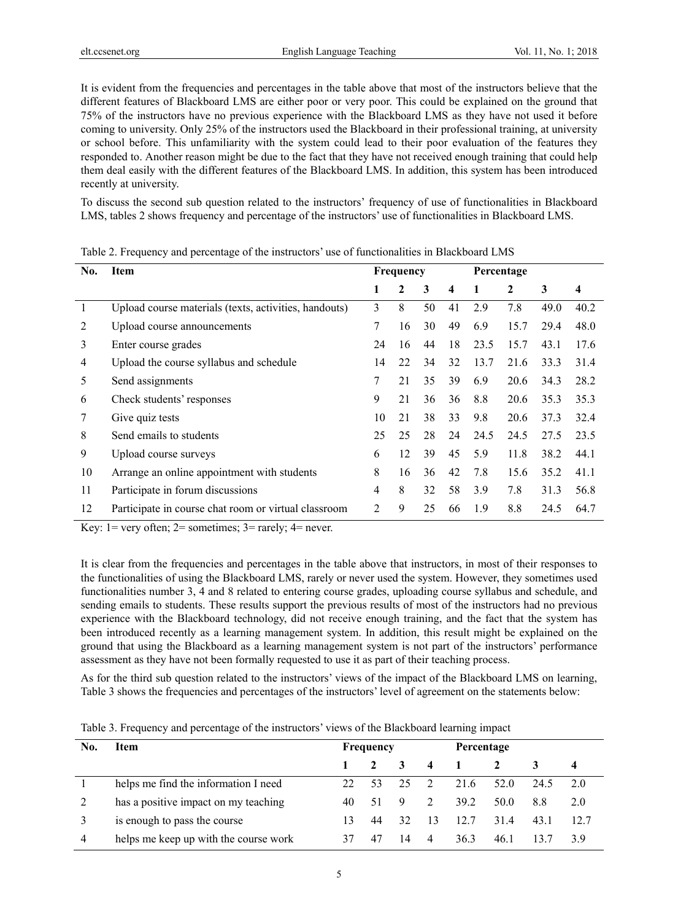It is evident from the frequencies and percentages in the table above that most of the instructors believe that the different features of Blackboard LMS are either poor or very poor. This could be explained on the ground that 75% of the instructors have no previous experience with the Blackboard LMS as they have not used it before coming to university. Only 25% of the instructors used the Blackboard in their professional training, at university or school before. This unfamiliarity with the system could lead to their poor evaluation of the features they responded to. Another reason might be due to the fact that they have not received enough training that could help them deal easily with the different features of the Blackboard LMS. In addition, this system has been introduced recently at university.

To discuss the second sub question related to the instructors' frequency of use of functionalities in Blackboard LMS, tables 2 shows frequency and percentage of the instructors' use of functionalities in Blackboard LMS.

| No. | <b>Item</b>                                           | Frequency      |    |    | Percentage              |      |              |      |      |
|-----|-------------------------------------------------------|----------------|----|----|-------------------------|------|--------------|------|------|
|     |                                                       | 1              | 2  | 3  | $\overline{\mathbf{4}}$ | 1    | $\mathbf{2}$ | 3    | 4    |
| 1   | Upload course materials (texts, activities, handouts) | 3              | 8  | 50 | 41                      | 2.9  | 7.8          | 49.0 | 40.2 |
| 2   | Upload course announcements                           | 7              | 16 | 30 | 49                      | 6.9  | 15.7         | 29.4 | 48.0 |
| 3   | Enter course grades                                   | 24             | 16 | 44 | 18                      | 23.5 | 15.7         | 43.1 | 17.6 |
| 4   | Upload the course syllabus and schedule               | 14             | 22 | 34 | 32                      | 13.7 | 21.6         | 33.3 | 31.4 |
| 5   | Send assignments                                      | 7              | 21 | 35 | 39                      | 6.9  | 20.6         | 34.3 | 28.2 |
| 6   | Check students' responses                             | 9              | 21 | 36 | 36                      | 8.8  | 20.6         | 35.3 | 35.3 |
| 7   | Give quiz tests                                       | 10             | 21 | 38 | 33                      | 9.8  | 20.6         | 37.3 | 32.4 |
| 8   | Send emails to students                               | 25             | 25 | 28 | 24                      | 24.5 | 24.5         | 27.5 | 23.5 |
| 9   | Upload course surveys                                 | 6              | 12 | 39 | 45                      | 5.9  | 11.8         | 38.2 | 44.1 |
| 10  | Arrange an online appointment with students           | 8              | 16 | 36 | 42                      | 7.8  | 15.6         | 35.2 | 41.1 |
| 11  | Participate in forum discussions                      | $\overline{4}$ | 8  | 32 | 58                      | 3.9  | 7.8          | 31.3 | 56.8 |
| 12  | Participate in course chat room or virtual classroom  | 2              | 9  | 25 | 66                      | 1.9  | 8.8          | 24.5 | 64.7 |

|  |  |  | Table 2. Frequency and percentage of the instructors' use of functionalities in Blackboard LMS |
|--|--|--|------------------------------------------------------------------------------------------------|
|--|--|--|------------------------------------------------------------------------------------------------|

Key:  $1 = \text{very often}; 2 = \text{sometimes}; 3 = \text{rarely}; 4 = \text{never}.$ 

It is clear from the frequencies and percentages in the table above that instructors, in most of their responses to the functionalities of using the Blackboard LMS, rarely or never used the system. However, they sometimes used functionalities number 3, 4 and 8 related to entering course grades, uploading course syllabus and schedule, and sending emails to students. These results support the previous results of most of the instructors had no previous experience with the Blackboard technology, did not receive enough training, and the fact that the system has been introduced recently as a learning management system. In addition, this result might be explained on the ground that using the Blackboard as a learning management system is not part of the instructors' performance assessment as they have not been formally requested to use it as part of their teaching process.

As for the third sub question related to the instructors' views of the impact of the Blackboard LMS on learning, Table 3 shows the frequencies and percentages of the instructors' level of agreement on the statements below:

| No. | <b>Item</b>                           | Frequency |    | Percentage |                  |      |      |      |      |
|-----|---------------------------------------|-----------|----|------------|------------------|------|------|------|------|
|     |                                       |           |    | 3          | $\boldsymbol{4}$ |      |      |      |      |
|     | helps me find the information I need  |           |    | 25         | $\mathcal{D}$    | 21.6 | 52.0 | 24.5 | 20   |
|     | has a positive impact on my teaching  | 40        | 51 | -9         | 2                | 39.2 | 50.0 | 8.8  | 2.0  |
|     | is enough to pass the course          |           | 44 | 32         | 13               | 12.7 | 314  | 43.1 | 12.7 |
| 4   | helps me keep up with the course work | 37        | 47 | 14         | $\overline{4}$   | 363  | 46.1 | 13.7 | 39   |

Table 3. Frequency and percentage of the instructors' views of the Blackboard learning impact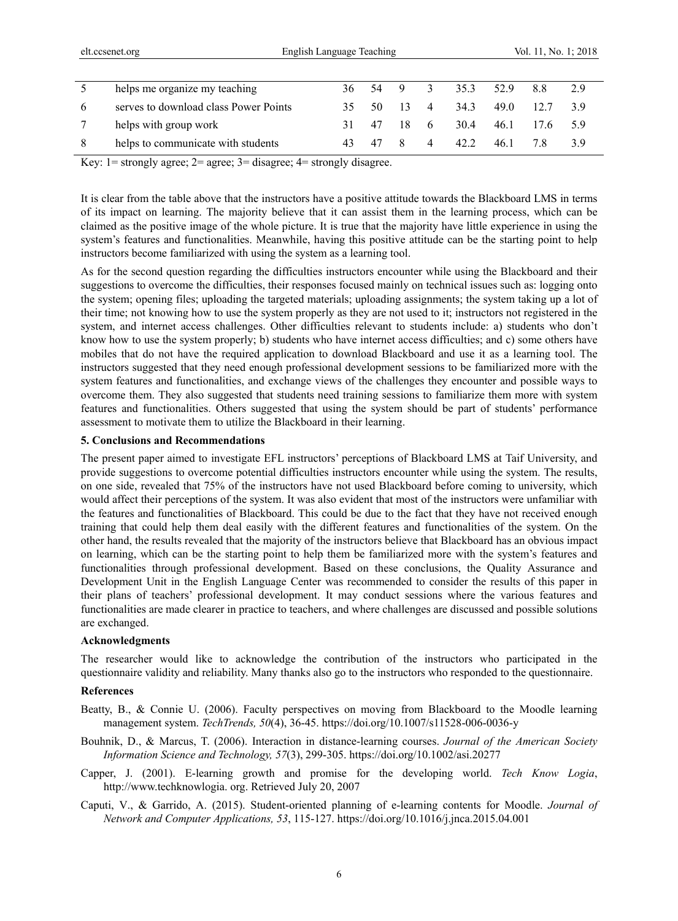| helps me organize my teaching         | 36 | 54   | $\overline{q}$ | $\mathcal{R}$  | 35.3 | 52.9 | 88   | 29  |
|---------------------------------------|----|------|----------------|----------------|------|------|------|-----|
| serves to download class Power Points |    | -50. | 13             | $\overline{4}$ | 34.3 | 49 O |      | 39  |
| helps with group work                 |    | 47   | - 18           | $\sim$ 6       | 30.4 | 46.1 | 17.6 | -59 |
| helps to communicate with students    |    | 47   | - 8            | $\overline{4}$ | 42.2 | 46 1 |      |     |

Key:  $1 =$  strongly agree;  $2 =$  agree;  $3 =$  disagree;  $4 =$  strongly disagree.

It is clear from the table above that the instructors have a positive attitude towards the Blackboard LMS in terms of its impact on learning. The majority believe that it can assist them in the learning process, which can be claimed as the positive image of the whole picture. It is true that the majority have little experience in using the system's features and functionalities. Meanwhile, having this positive attitude can be the starting point to help instructors become familiarized with using the system as a learning tool.

As for the second question regarding the difficulties instructors encounter while using the Blackboard and their suggestions to overcome the difficulties, their responses focused mainly on technical issues such as: logging onto the system; opening files; uploading the targeted materials; uploading assignments; the system taking up a lot of their time; not knowing how to use the system properly as they are not used to it; instructors not registered in the system, and internet access challenges. Other difficulties relevant to students include: a) students who don't know how to use the system properly; b) students who have internet access difficulties; and c) some others have mobiles that do not have the required application to download Blackboard and use it as a learning tool. The instructors suggested that they need enough professional development sessions to be familiarized more with the system features and functionalities, and exchange views of the challenges they encounter and possible ways to overcome them. They also suggested that students need training sessions to familiarize them more with system features and functionalities. Others suggested that using the system should be part of students' performance assessment to motivate them to utilize the Blackboard in their learning.

#### **5. Conclusions and Recommendations**

The present paper aimed to investigate EFL instructors' perceptions of Blackboard LMS at Taif University, and provide suggestions to overcome potential difficulties instructors encounter while using the system. The results, on one side, revealed that 75% of the instructors have not used Blackboard before coming to university, which would affect their perceptions of the system. It was also evident that most of the instructors were unfamiliar with the features and functionalities of Blackboard. This could be due to the fact that they have not received enough training that could help them deal easily with the different features and functionalities of the system. On the other hand, the results revealed that the majority of the instructors believe that Blackboard has an obvious impact on learning, which can be the starting point to help them be familiarized more with the system's features and functionalities through professional development. Based on these conclusions, the Quality Assurance and Development Unit in the English Language Center was recommended to consider the results of this paper in their plans of teachers' professional development. It may conduct sessions where the various features and functionalities are made clearer in practice to teachers, and where challenges are discussed and possible solutions are exchanged.

#### **Acknowledgments**

The researcher would like to acknowledge the contribution of the instructors who participated in the questionnaire validity and reliability. Many thanks also go to the instructors who responded to the questionnaire.

#### **References**

- Beatty, B., & Connie U. (2006). Faculty perspectives on moving from Blackboard to the Moodle learning management system. *TechTrends, 50*(4), 36-45. https://doi.org/10.1007/s11528-006-0036-y
- Bouhnik, D., & Marcus, T. (2006). Interaction in distance-learning courses. *Journal of the American Society Information Science and Technology, 57*(3), 299-305. https://doi.org/10.1002/asi.20277
- Capper, J. (2001). E-learning growth and promise for the developing world. *Tech Know Logia*, http://www.techknowlogia. org. Retrieved July 20, 2007
- Caputi, V., & Garrido, A. (2015). Student-oriented planning of e-learning contents for Moodle. *Journal of Network and Computer Applications, 53*, 115-127. https://doi.org/10.1016/j.jnca.2015.04.001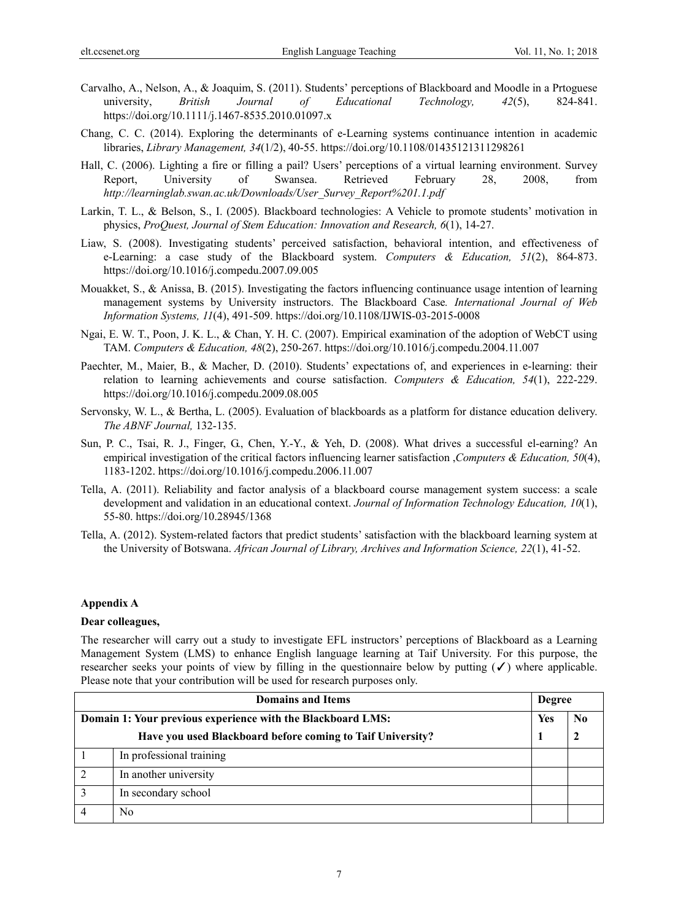- Carvalho, A., Nelson, A., & Joaquim, S. (2011). Students' perceptions of Blackboard and Moodle in a Prtoguese university, *British Journal of Educational Technology, 42*(5), 824-841. https://doi.org/10.1111/j.1467-8535.2010.01097.x
- Chang, C. C. (2014). Exploring the determinants of e-Learning systems continuance intention in academic libraries, *Library Management, 34*(1/2), 40-55. https://doi.org/10.1108/01435121311298261
- Hall, C. (2006). Lighting a fire or filling a pail? Users' perceptions of a virtual learning environment. Survey Report, University of Swansea. Retrieved February 28, 2008, from *http://learninglab.swan.ac.uk/Downloads/User\_Survey\_Report%201.1.pdf*
- Larkin, T. L., & Belson, S., I. (2005). Blackboard technologies: A Vehicle to promote students' motivation in physics, *ProQuest, Journal of Stem Education: Innovation and Research, 6*(1), 14-27.
- Liaw, S. (2008). Investigating students' perceived satisfaction, behavioral intention, and effectiveness of e-Learning: a case study of the Blackboard system. *Computers & Education, 51*(2), 864-873. https://doi.org/10.1016/j.compedu.2007.09.005
- Mouakket, S., & Anissa, B. (2015). Investigating the factors influencing continuance usage intention of learning management systems by University instructors. The Blackboard Case*. International Journal of Web Information Systems, 11*(4), 491-509. https://doi.org/10.1108/IJWIS-03-2015-0008
- Ngai, E. W. T., Poon, J. K. L., & Chan, Y. H. C. (2007). Empirical examination of the adoption of WebCT using TAM. *Computers & Education, 48*(2), 250-267. https://doi.org/10.1016/j.compedu.2004.11.007
- Paechter, M., Maier, B., & Macher, D. (2010). Students' expectations of, and experiences in e-learning: their relation to learning achievements and course satisfaction. *Computers & Education, 54*(1), 222-229. https://doi.org/10.1016/j.compedu.2009.08.005
- Servonsky, W. L., & Bertha, L. (2005). Evaluation of blackboards as a platform for distance education delivery. *The ABNF Journal,* 132-135.
- Sun, P. C., Tsai, R. J., Finger, G., Chen, Y.-Y., & Yeh, D. (2008). What drives a successful el-earning? An empirical investigation of the critical factors influencing learner satisfaction ,*Computers & Education, 50*(4), 1183-1202. https://doi.org/10.1016/j.compedu.2006.11.007
- Tella, A. (2011). Reliability and factor analysis of a blackboard course management system success: a scale development and validation in an educational context. *Journal of Information Technology Education, 10*(1), 55-80. https://doi.org/10.28945/1368
- Tella, A. (2012). System-related factors that predict students' satisfaction with the blackboard learning system at the University of Botswana. *African Journal of Library, Archives and Information Science, 22*(1), 41-52.

#### **Appendix A**

#### **Dear colleagues,**

The researcher will carry out a study to investigate EFL instructors' perceptions of Blackboard as a Learning Management System (LMS) to enhance English language learning at Taif University. For this purpose, the researcher seeks your points of view by filling in the questionnaire below by putting  $(\checkmark)$  where applicable. Please note that your contribution will be used for research purposes only.

|                                                             | <b>Domains and Items</b><br><b>Degree</b>                  |     |    |
|-------------------------------------------------------------|------------------------------------------------------------|-----|----|
| Domain 1: Your previous experience with the Blackboard LMS: |                                                            | Yes | N0 |
|                                                             | Have you used Blackboard before coming to Taif University? |     |    |
|                                                             | In professional training                                   |     |    |
| 2                                                           | In another university                                      |     |    |
| $\mathbf{3}$                                                | In secondary school                                        |     |    |
|                                                             | No                                                         |     |    |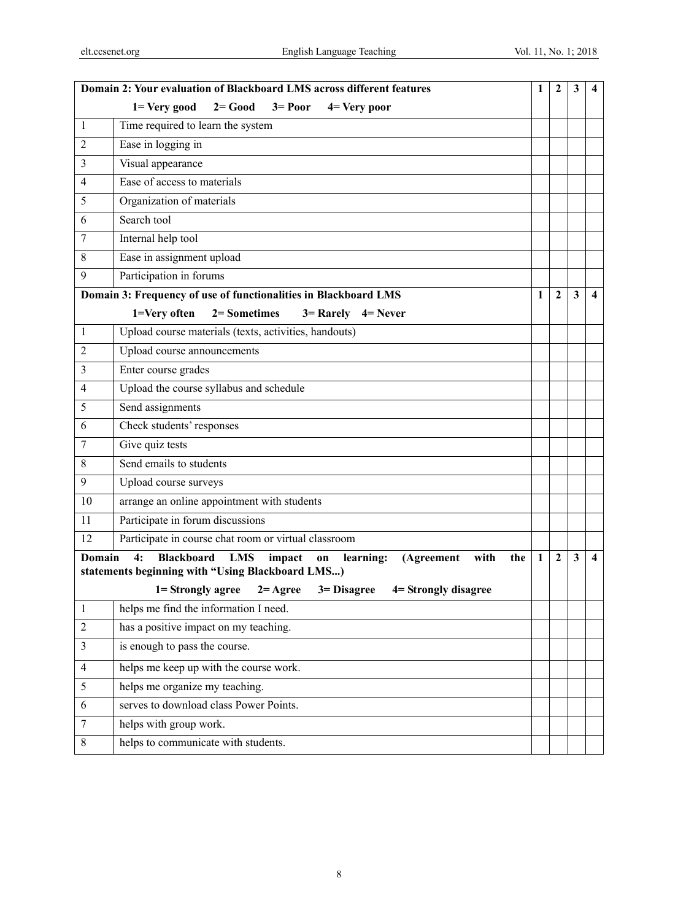|                  | Domain 2: Your evaluation of Blackboard LMS across different features                                                 | 1            | $\overline{2}$ | 3            | 4                       |
|------------------|-----------------------------------------------------------------------------------------------------------------------|--------------|----------------|--------------|-------------------------|
|                  | $2 = Good$<br>$3 = Poor$                                                                                              |              |                |              |                         |
| $\mathbf{1}$     | Time required to learn the system                                                                                     |              |                |              |                         |
| $\overline{2}$   | Ease in logging in                                                                                                    |              |                |              |                         |
| $\mathfrak{Z}$   | Visual appearance                                                                                                     |              |                |              |                         |
| $\overline{4}$   | Ease of access to materials                                                                                           |              |                |              |                         |
| $\sqrt{5}$       | Organization of materials                                                                                             |              |                |              |                         |
| 6                | Search tool                                                                                                           |              |                |              |                         |
| $\tau$           | Internal help tool                                                                                                    |              |                |              |                         |
| 8                | Ease in assignment upload                                                                                             |              |                |              |                         |
| 9                | Participation in forums                                                                                               |              |                |              |                         |
|                  | Domain 3: Frequency of use of functionalities in Blackboard LMS                                                       | $\mathbf{1}$ | $\overline{2}$ | $\mathbf{3}$ | $\overline{\mathbf{4}}$ |
|                  | 1=Very often<br>$2 =$ Sometimes<br>$3 =$ Rarely $4 =$ Never                                                           |              |                |              |                         |
| $\mathbf{1}$     | Upload course materials (texts, activities, handouts)                                                                 |              |                |              |                         |
| $\overline{2}$   | Upload course announcements                                                                                           |              |                |              |                         |
| $\mathfrak{Z}$   | Enter course grades                                                                                                   |              |                |              |                         |
| $\overline{4}$   | Upload the course syllabus and schedule                                                                               |              |                |              |                         |
| 5                | Send assignments                                                                                                      |              |                |              |                         |
| 6                | Check students' responses                                                                                             |              |                |              |                         |
| $\tau$           | Give quiz tests                                                                                                       |              |                |              |                         |
| $\,8\,$          | Send emails to students                                                                                               |              |                |              |                         |
| 9                | Upload course surveys                                                                                                 |              |                |              |                         |
| 10               | arrange an online appointment with students                                                                           |              |                |              |                         |
| 11               | Participate in forum discussions                                                                                      |              |                |              |                         |
| 12               | Participate in course chat room or virtual classroom                                                                  |              |                |              |                         |
| Domain           | <b>LMS</b><br>impact<br>4:<br><b>Blackboard</b><br>learning:<br>with<br>(Agreement<br>the<br>on                       | $\mathbf{1}$ | $\overline{2}$ | $\mathbf{3}$ | $\overline{\mathbf{4}}$ |
|                  | statements beginning with "Using Blackboard LMS)<br>1= Strongly agree $2=$ Agree $3=$ Disagree $4=$ Strongly disagree |              |                |              |                         |
| $\mathbf{1}$     | helps me find the information I need.                                                                                 |              |                |              |                         |
| $\sqrt{2}$       | has a positive impact on my teaching.                                                                                 |              |                |              |                         |
| $\mathfrak{Z}$   | is enough to pass the course.                                                                                         |              |                |              |                         |
|                  | helps me keep up with the course work.                                                                                |              |                |              |                         |
| $\overline{4}$   | helps me organize my teaching.                                                                                        |              |                |              |                         |
| $\sqrt{5}$       | serves to download class Power Points.                                                                                |              |                |              |                         |
| 6                |                                                                                                                       |              |                |              |                         |
| $\boldsymbol{7}$ | helps with group work.                                                                                                |              |                |              |                         |
| $8\,$            | helps to communicate with students.                                                                                   |              |                |              |                         |